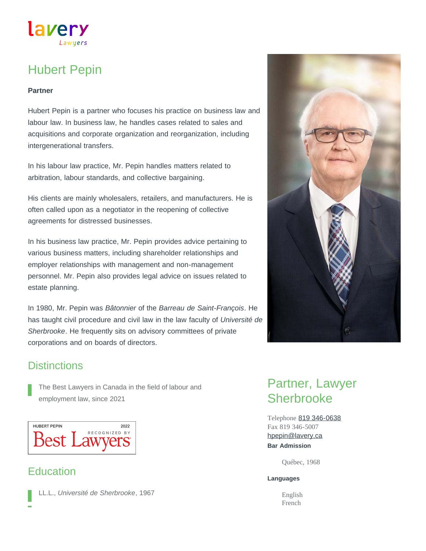# Hubert Pepin

Lawuers

lavery

#### **Partner**

Hubert Pepin is a partner who focuses his practice on business law and labour law. In business law, he handles cases related to sales and acquisitions and corporate organization and reorganization, including intergenerational transfers.

In his labour law practice, Mr. Pepin handles matters related to arbitration, labour standards, and collective bargaining.

His clients are mainly wholesalers, retailers, and manufacturers. He is often called upon as a negotiator in the reopening of collective agreements for distressed businesses.

In his business law practice, Mr. Pepin provides advice pertaining to various business matters, including shareholder relationships and employer relationships with management and non-management personnel. Mr. Pepin also provides legal advice on issues related to estate planning.

In 1980, Mr. Pepin was *Bâtonnier* of the *Barreau de Saint-François*. He has taught civil procedure and civil law in the law faculty of *Université de Sherbrooke*. He frequently sits on advisory committees of private corporations and on boards of directors.



### **Distinctions**

The Best Lawyers in Canada in the field of labour and employment law, since 2021

**HUBERT PEPIN** 2022 RECOGNIZED BY **Best Lawyers** 

### **Education**

LL.L., *Université de Sherbrooke*, 1967

## Partner, Lawyer **Sherbrooke**

Telephone [819 346-0638](tel:819-346-0638) Fax 819 346-5007 **Bar Admission** [hpepin@lavery.ca](mailto:hpepin@lavery.ca)

Québec, 1968

#### **Languages**

English French